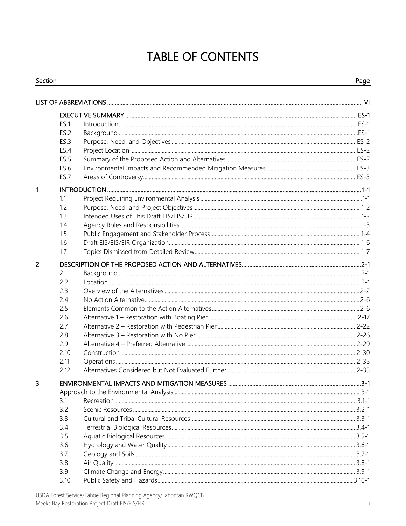## **TABLE OF CONTENTS**

| Section |      | Page |
|---------|------|------|
|         |      |      |
|         |      |      |
|         | ES.1 |      |
|         | ES.2 |      |
|         | ES.3 |      |
|         | ES.4 |      |
|         | ES.5 |      |
|         | ES.6 |      |
|         | ES.7 |      |
| 1       |      |      |
|         | 1.1  |      |
|         | 1.2  |      |
|         | 1.3  |      |
|         | 1.4  |      |
|         | 1.5  |      |
|         | 1.6  |      |
|         | 1.7  |      |
| 2       |      |      |
|         | 2.1  |      |
|         | 2.2  |      |
|         | 2.3  |      |
|         | 2.4  |      |
|         | 2.5  |      |
|         | 2.6  |      |
|         | 2.7  |      |
|         | 2.8  |      |
|         | 2.9  |      |
|         | 2.10 |      |
|         | 2.11 |      |
|         | 2.12 |      |
| 3       |      |      |
|         |      |      |
|         | 3.1  |      |
|         | 3.2  |      |
|         | 3.3  |      |
|         | 3.4  |      |
|         | 3.5  |      |
|         | 3.6  |      |
|         | 3.7  |      |
|         | 3.8  |      |
|         | 3.9  |      |
|         | 3.10 |      |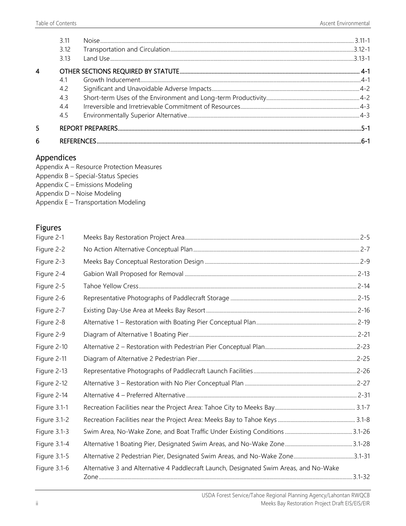|   | 3.11 |  |
|---|------|--|
|   | 3.12 |  |
|   | 3.13 |  |
|   |      |  |
|   | 4.1  |  |
|   | 4.2  |  |
|   | 4.3  |  |
|   | 44   |  |
|   | 4.5  |  |
|   |      |  |
| 6 |      |  |

## Appendices

- Appendix B Special-Status Species
- Appendix C Emissions Modeling
- Appendix D Noise Modeling
- Appendix E Transportation Modeling

## Figures

| Figure 2-1   |                                                                                        |  |
|--------------|----------------------------------------------------------------------------------------|--|
| Figure 2-2   |                                                                                        |  |
| Figure 2-3   |                                                                                        |  |
| Figure 2-4   |                                                                                        |  |
| Figure 2-5   |                                                                                        |  |
| Figure 2-6   |                                                                                        |  |
| Figure 2-7   |                                                                                        |  |
| Figure 2-8   |                                                                                        |  |
| Figure 2-9   |                                                                                        |  |
| Figure 2-10  |                                                                                        |  |
| Figure 2-11  |                                                                                        |  |
| Figure 2-13  |                                                                                        |  |
| Figure 2-12  |                                                                                        |  |
| Figure 2-14  |                                                                                        |  |
| Figure 3.1-1 |                                                                                        |  |
| Figure 3.1-2 |                                                                                        |  |
| Figure 3.1-3 |                                                                                        |  |
| Figure 3.1-4 |                                                                                        |  |
| Figure 3.1-5 | Alternative 2 Pedestrian Pier, Designated Swim Areas, and No-Wake Zone3.1-31           |  |
| Figure 3.1-6 | Alternative 3 and Alternative 4 Paddlecraft Launch, Designated Swim Areas, and No-Wake |  |
|              |                                                                                        |  |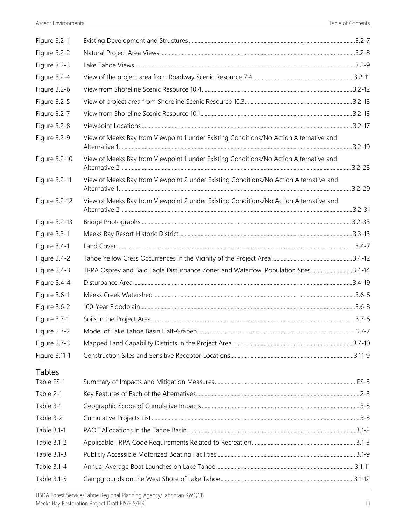| Figure 3.2-1  |                                                                                        |  |
|---------------|----------------------------------------------------------------------------------------|--|
| Figure 3.2-2  |                                                                                        |  |
| Figure 3.2-3  |                                                                                        |  |
| Figure 3.2-4  |                                                                                        |  |
| Figure 3.2-6  |                                                                                        |  |
| Figure 3.2-5  |                                                                                        |  |
| Figure 3.2-7  |                                                                                        |  |
| Figure 3.2-8  |                                                                                        |  |
| Figure 3.2-9  | View of Meeks Bay from Viewpoint 1 under Existing Conditions/No Action Alternative and |  |
| Figure 3.2-10 | View of Meeks Bay from Viewpoint 1 under Existing Conditions/No Action Alternative and |  |
| Figure 3.2-11 | View of Meeks Bay from Viewpoint 2 under Existing Conditions/No Action Alternative and |  |
| Figure 3.2-12 | View of Meeks Bay from Viewpoint 2 under Existing Conditions/No Action Alternative and |  |
| Figure 3.2-13 |                                                                                        |  |
| Figure 3.3-1  |                                                                                        |  |
| Figure 3.4-1  |                                                                                        |  |
| Figure 3.4-2  |                                                                                        |  |
| Figure 3.4-3  | TRPA Osprey and Bald Eagle Disturbance Zones and Waterfowl Population Sites3.4-14      |  |
| Figure 3.4-4  |                                                                                        |  |
| Figure 3.6-1  |                                                                                        |  |
| Figure 3.6-2  |                                                                                        |  |
| Figure 3.7-1  |                                                                                        |  |
| Figure 3.7-2  |                                                                                        |  |
| Figure 3.7-3  |                                                                                        |  |
| Figure 3.11-1 |                                                                                        |  |
| <b>Tables</b> |                                                                                        |  |
| Table ES-1    |                                                                                        |  |
| Table 2-1     |                                                                                        |  |
| Table 3-1     |                                                                                        |  |
| Table 3-2     |                                                                                        |  |
| Table 3.1-1   |                                                                                        |  |
| Table 3.1-2   |                                                                                        |  |
| Table 3.1-3   |                                                                                        |  |
| Table 3.1-4   |                                                                                        |  |
| Table 3.1-5   |                                                                                        |  |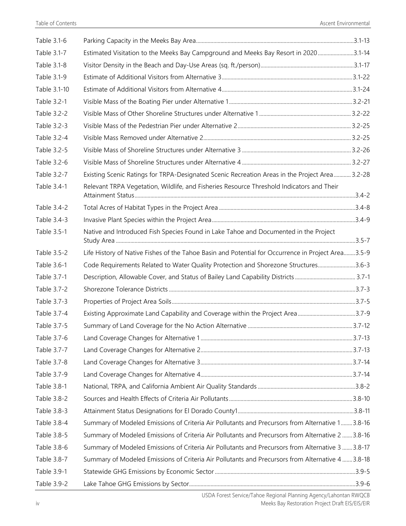| Table 3.1-6  |                                                                                                    |  |
|--------------|----------------------------------------------------------------------------------------------------|--|
| Table 3.1-7  | Estimated Visitation to the Meeks Bay Campground and Meeks Bay Resort in 20203.1-14                |  |
| Table 3.1-8  |                                                                                                    |  |
| Table 3.1-9  |                                                                                                    |  |
| Table 3.1-10 |                                                                                                    |  |
| Table 3.2-1  |                                                                                                    |  |
| Table 3.2-2  |                                                                                                    |  |
| Table 3.2-3  |                                                                                                    |  |
| Table 3.2-4  |                                                                                                    |  |
| Table 3.2-5  |                                                                                                    |  |
| Table 3.2-6  |                                                                                                    |  |
| Table 3.2-7  | Existing Scenic Ratings for TRPA-Designated Scenic Recreation Areas in the Project Area 3.2-28     |  |
| Table 3.4-1  | Relevant TRPA Vegetation, Wildlife, and Fisheries Resource Threshold Indicators and Their          |  |
| Table 3.4-2  |                                                                                                    |  |
| Table 3.4-3  |                                                                                                    |  |
| Table 3.5-1  | Native and Introduced Fish Species Found in Lake Tahoe and Documented in the Project               |  |
| Table 3.5-2  | Life History of Native Fishes of the Tahoe Basin and Potential for Occurrence in Project Area3.5-9 |  |
| Table 3.6-1  | Code Requirements Related to Water Quality Protection and Shorezone Structures3.6-3                |  |
| Table 3.7-1  |                                                                                                    |  |
| Table 3.7-2  |                                                                                                    |  |
| Table 3.7-3  |                                                                                                    |  |
| Table 3.7-4  | Existing Approximate Land Capability and Coverage within the Project Area3.7-9                     |  |
| Table 3.7-5  |                                                                                                    |  |
| Table 3.7-6  |                                                                                                    |  |
| Table 3.7-7  |                                                                                                    |  |
| Table 3.7-8  |                                                                                                    |  |
| Table 3.7-9  |                                                                                                    |  |
| Table 3.8-1  |                                                                                                    |  |
| Table 3.8-2  |                                                                                                    |  |
| Table 3.8-3  |                                                                                                    |  |
| Table 3.8-4  | Summary of Modeled Emissions of Criteria Air Pollutants and Precursors from Alternative 1 3.8-16   |  |
| Table 3.8-5  | Summary of Modeled Emissions of Criteria Air Pollutants and Precursors from Alternative 2  3.8-16  |  |
| Table 3.8-6  | Summary of Modeled Emissions of Criteria Air Pollutants and Precursors from Alternative 3  3.8-17  |  |
| Table 3.8-7  | Summary of Modeled Emissions of Criteria Air Pollutants and Precursors from Alternative 4  3.8-18  |  |
| Table 3.9-1  |                                                                                                    |  |
| Table 3.9-2  |                                                                                                    |  |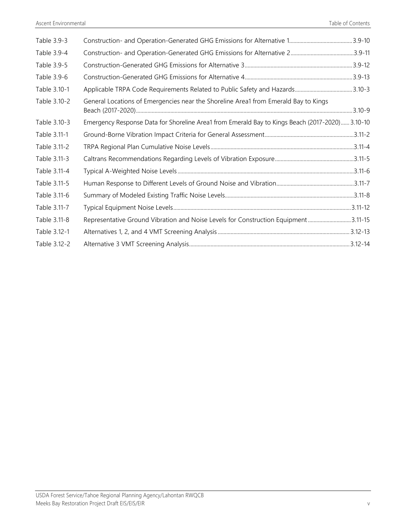| Table 3.9-3  |                                                                                                 |  |
|--------------|-------------------------------------------------------------------------------------------------|--|
| Table 3.9-4  |                                                                                                 |  |
| Table 3.9-5  |                                                                                                 |  |
| Table 3.9-6  |                                                                                                 |  |
| Table 3.10-1 |                                                                                                 |  |
| Table 3.10-2 | General Locations of Emergencies near the Shoreline Area1 from Emerald Bay to Kings             |  |
| Table 3.10-3 | Emergency Response Data for Shoreline Area1 from Emerald Bay to Kings Beach (2017-2020) 3.10-10 |  |
| Table 3.11-1 |                                                                                                 |  |
| Table 3.11-2 |                                                                                                 |  |
| Table 3.11-3 |                                                                                                 |  |
| Table 3.11-4 |                                                                                                 |  |
| Table 3.11-5 |                                                                                                 |  |
| Table 3.11-6 |                                                                                                 |  |
| Table 3.11-7 |                                                                                                 |  |
| Table 3.11-8 | Representative Ground Vibration and Noise Levels for Construction Equipment3.11-15              |  |
| Table 3.12-1 |                                                                                                 |  |
| Table 3.12-2 |                                                                                                 |  |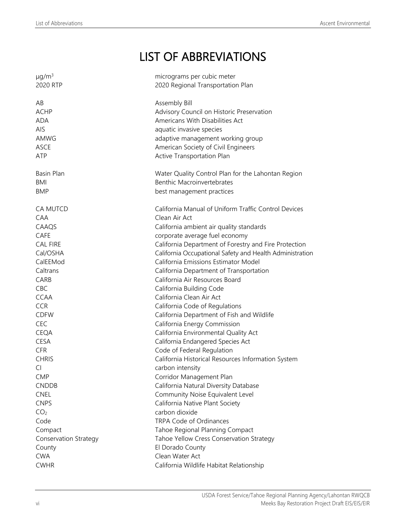## LIST OF ABBREVIATIONS

| $\mu$ g/m <sup>3</sup>       | micrograms per cubic meter                               |
|------------------------------|----------------------------------------------------------|
| 2020 RTP                     | 2020 Regional Transportation Plan                        |
|                              |                                                          |
| AB                           | Assembly Bill                                            |
| <b>ACHP</b>                  | Advisory Council on Historic Preservation                |
| <b>ADA</b>                   | Americans With Disabilities Act                          |
| <b>AIS</b>                   | aquatic invasive species                                 |
| AMWG                         | adaptive management working group                        |
| <b>ASCE</b>                  | American Society of Civil Engineers                      |
| ATP                          | Active Transportation Plan                               |
|                              |                                                          |
| Basin Plan                   | Water Quality Control Plan for the Lahontan Region       |
| BMI                          | <b>Benthic Macroinvertebrates</b>                        |
| <b>BMP</b>                   | best management practices                                |
|                              |                                                          |
| CA MUTCD                     | California Manual of Uniform Traffic Control Devices     |
| CAA                          | Clean Air Act                                            |
| CAAQS                        | California ambient air quality standards                 |
| <b>CAFE</b>                  | corporate average fuel economy                           |
| <b>CAL FIRE</b>              | California Department of Forestry and Fire Protection    |
| Cal/OSHA                     | California Occupational Safety and Health Administration |
| CalEEMod                     | California Emissions Estimator Model                     |
| Caltrans                     | California Department of Transportation                  |
| CARB                         | California Air Resources Board                           |
| CBC                          |                                                          |
|                              | California Building Code                                 |
| <b>CCAA</b>                  | California Clean Air Act                                 |
| <b>CCR</b>                   | California Code of Regulations                           |
| <b>CDFW</b>                  | California Department of Fish and Wildlife               |
| <b>CEC</b>                   | California Energy Commission                             |
| <b>CEQA</b>                  | California Environmental Quality Act                     |
| <b>CESA</b>                  | California Endangered Species Act                        |
| <b>CFR</b>                   | Code of Federal Regulation                               |
| <b>CHRIS</b>                 | California Historical Resources Information System       |
| CI.                          | carbon intensity                                         |
| <b>CMP</b>                   | Corridor Management Plan                                 |
| <b>CNDDB</b>                 | California Natural Diversity Database                    |
| <b>CNEL</b>                  | Community Noise Equivalent Level                         |
| <b>CNPS</b>                  | California Native Plant Society                          |
| CO <sub>2</sub>              | carbon dioxide                                           |
| Code                         | TRPA Code of Ordinances                                  |
| Compact                      | Tahoe Regional Planning Compact                          |
| <b>Conservation Strategy</b> | Tahoe Yellow Cress Conservation Strategy                 |
| County                       | El Dorado County                                         |
| <b>CWA</b>                   | Clean Water Act                                          |
| <b>CWHR</b>                  | California Wildlife Habitat Relationship                 |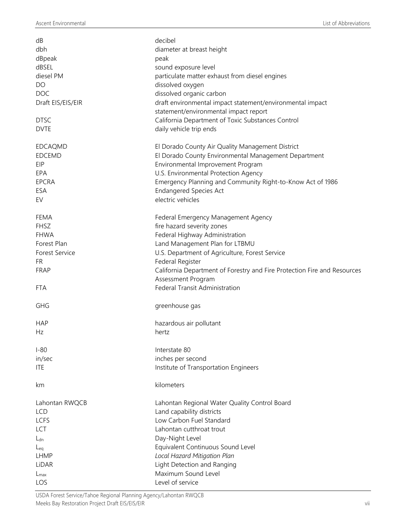| dB                    | decibel                                                                  |
|-----------------------|--------------------------------------------------------------------------|
| dbh                   | diameter at breast height                                                |
| dBpeak                | peak                                                                     |
| dBSEL                 | sound exposure level                                                     |
| diesel PM             | particulate matter exhaust from diesel engines                           |
| DO                    | dissolved oxygen                                                         |
| <b>DOC</b>            | dissolved organic carbon                                                 |
| Draft EIS/EIS/EIR     | draft environmental impact statement/environmental impact                |
|                       | statement/environmental impact report                                    |
| <b>DTSC</b>           | California Department of Toxic Substances Control                        |
| <b>DVTE</b>           | daily vehicle trip ends                                                  |
| EDCAQMD               | El Dorado County Air Quality Management District                         |
| <b>EDCEMD</b>         | El Dorado County Environmental Management Department                     |
| EIP                   | Environmental Improvement Program                                        |
| EPA                   | U.S. Environmental Protection Agency                                     |
| <b>EPCRA</b>          | Emergency Planning and Community Right-to-Know Act of 1986               |
| ESA                   | <b>Endangered Species Act</b>                                            |
| EV                    | electric vehicles                                                        |
|                       |                                                                          |
| FEMA                  | Federal Emergency Management Agency                                      |
| <b>FHSZ</b>           | fire hazard severity zones                                               |
| <b>FHWA</b>           | Federal Highway Administration                                           |
| Forest Plan           | Land Management Plan for LTBMU                                           |
| <b>Forest Service</b> | U.S. Department of Agriculture, Forest Service                           |
| FR                    | Federal Register                                                         |
| <b>FRAP</b>           | California Department of Forestry and Fire Protection Fire and Resources |
|                       | Assessment Program                                                       |
| FTA                   | Federal Transit Administration                                           |
| <b>GHG</b>            | greenhouse gas                                                           |
| <b>HAP</b>            | hazardous air pollutant                                                  |
| Hz                    | hertz                                                                    |
|                       |                                                                          |
| $I-80$                | Interstate 80                                                            |
| in/sec                | inches per second                                                        |
| <b>ITE</b>            | Institute of Transportation Engineers                                    |
| km                    | kilometers                                                               |
| Lahontan RWQCB        | Lahontan Regional Water Quality Control Board                            |
| <b>LCD</b>            | Land capability districts                                                |
| <b>LCFS</b>           | Low Carbon Fuel Standard                                                 |
| LCT                   | Lahontan cutthroat trout                                                 |
| $L_{dn}$              | Day-Night Level                                                          |
| $L_{eq}$              | Equivalent Continuous Sound Level                                        |
| <b>LHMP</b>           | Local Hazard Mitigation Plan                                             |
| LiDAR                 | Light Detection and Ranging                                              |
| $L_{\text{max}}$      | Maximum Sound Level                                                      |
| LOS                   | Level of service                                                         |
|                       |                                                                          |

USDA Forest Service/Tahoe Regional Planning Agency/Lahontan RWQCB Meeks Bay Restoration Project Draft EIS/EIS/EIR vii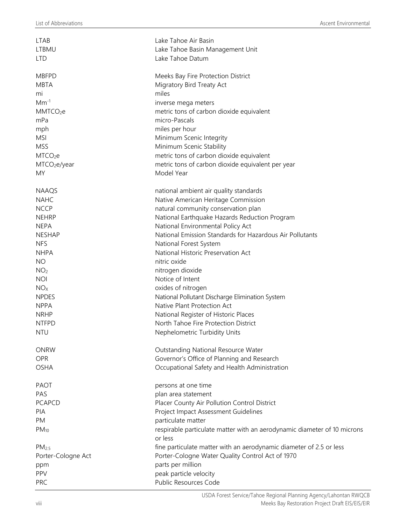| <b>LTAB</b>              | Lake Tahoe Air Basin                                                     |
|--------------------------|--------------------------------------------------------------------------|
| <b>LTBMU</b>             | Lake Tahoe Basin Management Unit                                         |
| <b>LTD</b>               | Lake Tahoe Datum                                                         |
|                          |                                                                          |
| <b>MBFPD</b>             | Meeks Bay Fire Protection District                                       |
| <b>MBTA</b>              | Migratory Bird Treaty Act                                                |
| mi                       | miles                                                                    |
| $Mm^{-1}$                | inverse mega meters                                                      |
| MMTCO <sub>2</sub> e     | metric tons of carbon dioxide equivalent                                 |
| mPa                      | micro-Pascals                                                            |
| mph                      | miles per hour                                                           |
| <b>MSI</b>               | Minimum Scenic Integrity                                                 |
| <b>MSS</b>               | Minimum Scenic Stability                                                 |
| MTCO <sub>2</sub> e      | metric tons of carbon dioxide equivalent                                 |
| MTCO <sub>2</sub> e/year | metric tons of carbon dioxide equivalent per year                        |
|                          | Model Year                                                               |
| <b>MY</b>                |                                                                          |
|                          |                                                                          |
| <b>NAAQS</b>             | national ambient air quality standards                                   |
| <b>NAHC</b>              | Native American Heritage Commission                                      |
| <b>NCCP</b>              | natural community conservation plan                                      |
| <b>NEHRP</b>             | National Earthquake Hazards Reduction Program                            |
| <b>NEPA</b>              | National Environmental Policy Act                                        |
| <b>NESHAP</b>            | National Emission Standards for Hazardous Air Pollutants                 |
| <b>NFS</b>               | National Forest System                                                   |
| <b>NHPA</b>              | National Historic Preservation Act                                       |
| <b>NO</b>                | nitric oxide                                                             |
| NO <sub>2</sub>          | nitrogen dioxide                                                         |
| <b>NOI</b>               | Notice of Intent                                                         |
| NO <sub>X</sub>          | oxides of nitrogen                                                       |
| <b>NPDES</b>             | National Pollutant Discharge Elimination System                          |
| <b>NPPA</b>              | Native Plant Protection Act                                              |
| <b>NRHP</b>              | National Register of Historic Places                                     |
| <b>NTFPD</b>             | North Tahoe Fire Protection District                                     |
| <b>NTU</b>               | Nephelometric Turbidity Units                                            |
|                          |                                                                          |
| <b>ONRW</b>              | Outstanding National Resource Water                                      |
| <b>OPR</b>               | Governor's Office of Planning and Research                               |
| <b>OSHA</b>              | Occupational Safety and Health Administration                            |
| <b>PAOT</b>              |                                                                          |
| PAS                      | persons at one time                                                      |
|                          | plan area statement                                                      |
| <b>PCAPCD</b>            | Placer County Air Pollution Control District                             |
| PIA                      | Project Impact Assessment Guidelines                                     |
| PM                       | particulate matter                                                       |
| $PM_{10}$                | respirable particulate matter with an aerodynamic diameter of 10 microns |
|                          | or less                                                                  |
| PM <sub>2.5</sub>        | fine particulate matter with an aerodynamic diameter of 2.5 or less      |
| Porter-Cologne Act       | Porter-Cologne Water Quality Control Act of 1970                         |
| ppm                      | parts per million                                                        |
| PPV                      | peak particle velocity                                                   |
| PRC                      | Public Resources Code                                                    |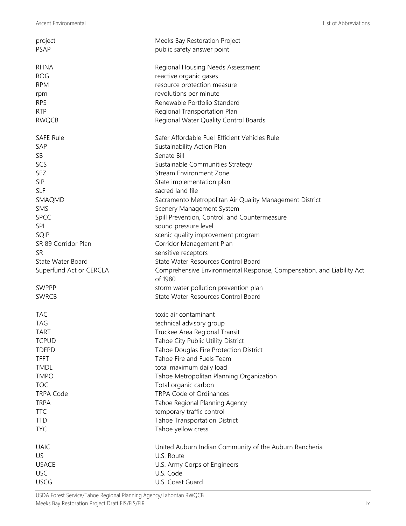| project<br>PSAP         | Meeks Bay Restoration Project<br>public safety answer point           |
|-------------------------|-----------------------------------------------------------------------|
| <b>RHNA</b>             | Regional Housing Needs Assessment                                     |
| <b>ROG</b>              | reactive organic gases                                                |
| <b>RPM</b>              | resource protection measure                                           |
|                         | revolutions per minute                                                |
| rpm<br><b>RPS</b>       | Renewable Portfolio Standard                                          |
| <b>RTP</b>              |                                                                       |
| <b>RWQCB</b>            | Regional Transportation Plan<br>Regional Water Quality Control Boards |
|                         |                                                                       |
| <b>SAFE Rule</b>        | Safer Affordable Fuel-Efficient Vehicles Rule                         |
| SAP                     | Sustainability Action Plan                                            |
| SB                      | Senate Bill                                                           |
| SCS                     | Sustainable Communities Strategy                                      |
| SEZ                     | <b>Stream Environment Zone</b>                                        |
| <b>SIP</b>              | State implementation plan                                             |
| <b>SLF</b>              | sacred land file                                                      |
| SMAQMD                  | Sacramento Metropolitan Air Quality Management District               |
| SMS                     | Scenery Management System                                             |
| <b>SPCC</b>             | Spill Prevention, Control, and Countermeasure                         |
| SPL                     | sound pressure level                                                  |
| SQIP                    | scenic quality improvement program                                    |
| SR 89 Corridor Plan     | Corridor Management Plan                                              |
| <b>SR</b>               | sensitive receptors                                                   |
| State Water Board       | State Water Resources Control Board                                   |
| Superfund Act or CERCLA | Comprehensive Environmental Response, Compensation, and Liability Act |
|                         | of 1980                                                               |
| SWPPP                   | storm water pollution prevention plan                                 |
| <b>SWRCB</b>            | State Water Resources Control Board                                   |
| <b>TAC</b>              | toxic air contaminant                                                 |
| <b>TAG</b>              | technical advisory group                                              |
| <b>TART</b>             | Truckee Area Regional Transit                                         |
| <b>TCPUD</b>            | Tahoe City Public Utility District                                    |
| <b>TDFPD</b>            | Tahoe Douglas Fire Protection District                                |
| <b>TFFT</b>             | Tahoe Fire and Fuels Team                                             |
| <b>TMDL</b>             | total maximum daily load                                              |
| <b>TMPO</b>             | Tahoe Metropolitan Planning Organization                              |
| <b>TOC</b>              | Total organic carbon                                                  |
| <b>TRPA Code</b>        | TRPA Code of Ordinances                                               |
| <b>TRPA</b>             | Tahoe Regional Planning Agency                                        |
| <b>TTC</b>              | temporary traffic control                                             |
| <b>TTD</b>              | Tahoe Transportation District                                         |
| <b>TYC</b>              | Tahoe yellow cress                                                    |
| <b>UAIC</b>             | United Auburn Indian Community of the Auburn Rancheria                |
| US                      | U.S. Route                                                            |
| <b>USACE</b>            | U.S. Army Corps of Engineers                                          |
| <b>USC</b>              | U.S. Code                                                             |
| <b>USCG</b>             | U.S. Coast Guard                                                      |

USDA Forest Service/Tahoe Regional Planning Agency/Lahontan RWQCB Meeks Bay Restoration Project Draft EIS/EIS/EIR in the state of the state of the state of the state of the state of the state of the state of the state of the state of the state of the state of the state of the state of th